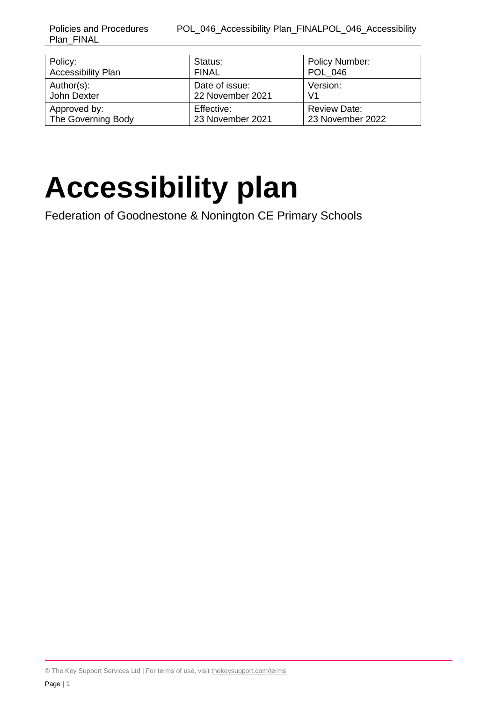| Policy:                   | Status:          | <b>Policy Number:</b> |
|---------------------------|------------------|-----------------------|
| <b>Accessibility Plan</b> | <b>FINAL</b>     | <b>POL 046</b>        |
| Author(s):                | Date of issue:   | Version:              |
| John Dexter               | 22 November 2021 | V <sub>1</sub>        |
| Approved by:              | Effective:       | <b>Review Date:</b>   |
| The Governing Body        | 23 November 2021 | 23 November 2022      |

# **Accessibility plan**

Federation of Goodnestone & Nonington CE Primary Schools

© The Key Support Services Ltd | For terms of use, visit [thekeysupport.com/terms](https://thekeysupport.com/terms-of-use)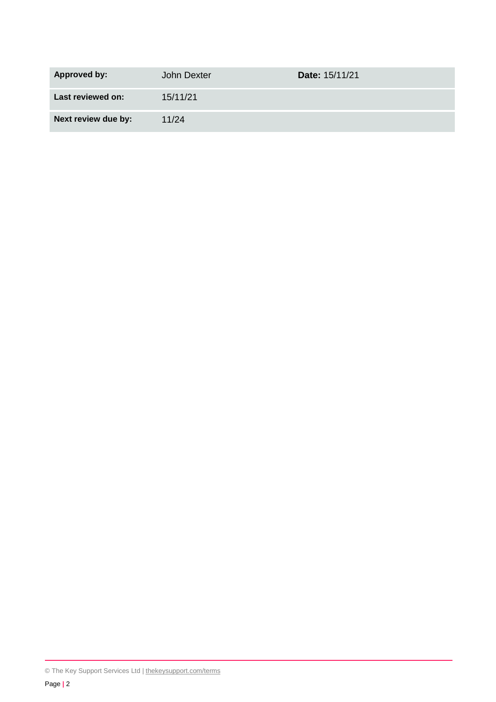| <b>Approved by:</b> | John Dexter | Date: 15/11/21 |
|---------------------|-------------|----------------|
| Last reviewed on:   | 15/11/21    |                |
| Next review due by: | 11/24       |                |

<sup>©</sup> The Key Support Services Ltd | [thekeysupport.com/terms](https://thekeysupport.com/terms-of-use)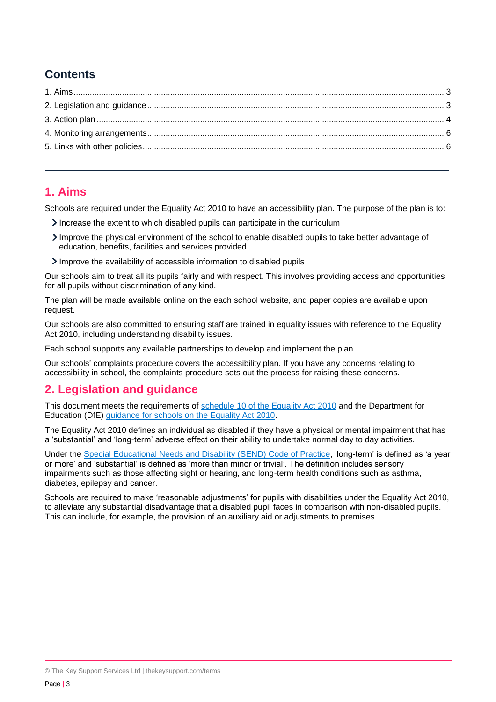# **Contents**

## <span id="page-2-0"></span>**1. Aims**

Schools are required under the Equality Act 2010 to have an accessibility plan. The purpose of the plan is to:

- Increase the extent to which disabled pupils can participate in the curriculum
- Improve the physical environment of the school to enable disabled pupils to take better advantage of education, benefits, facilities and services provided
- Improve the availability of accessible information to disabled pupils

Our schools aim to treat all its pupils fairly and with respect. This involves providing access and opportunities for all pupils without discrimination of any kind.

The plan will be made available online on the each school website, and paper copies are available upon request.

Our schools are also committed to ensuring staff are trained in equality issues with reference to the Equality Act 2010, including understanding disability issues.

Each school supports any available partnerships to develop and implement the plan.

Our schools' complaints procedure covers the accessibility plan. If you have any concerns relating to accessibility in school, the complaints procedure sets out the process for raising these concerns.

## <span id="page-2-1"></span>**2. Legislation and guidance**

This document meets the requirements of [schedule 10 of the Equality Act 2010](http://www.legislation.gov.uk/ukpga/2010/15/schedule/10) and the Department for Education (DfE) [guidance for schools on the Equality Act 2010.](https://www.gov.uk/government/publications/equality-act-2010-advice-for-schools)

The Equality Act 2010 defines an individual as disabled if they have a physical or mental impairment that has a 'substantial' and 'long-term' adverse effect on their ability to undertake normal day to day activities.

Under the [Special Educational Needs and Disability \(SEND\) Code of Practice,](https://www.gov.uk/government/publications/send-code-of-practice-0-to-25) 'long-term' is defined as 'a year or more' and 'substantial' is defined as 'more than minor or trivial'. The definition includes sensory impairments such as those affecting sight or hearing, and long-term health conditions such as asthma, diabetes, epilepsy and cancer.

Schools are required to make 'reasonable adjustments' for pupils with disabilities under the Equality Act 2010, to alleviate any substantial disadvantage that a disabled pupil faces in comparison with non-disabled pupils. This can include, for example, the provision of an auxiliary aid or adjustments to premises.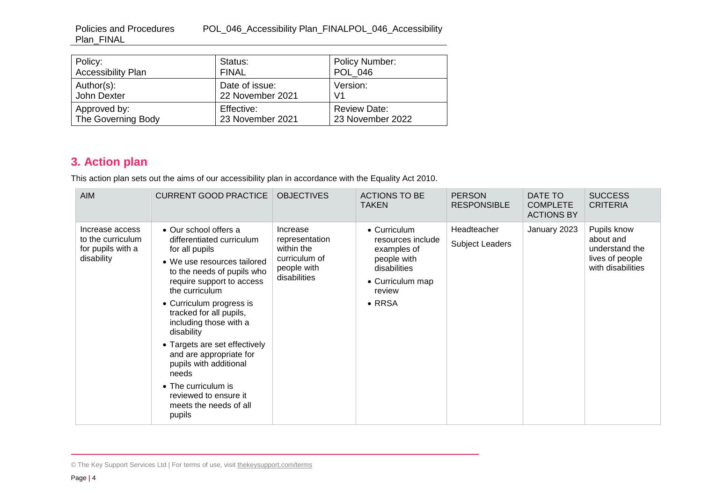Policies and Procedures POL\_046\_Accessibility Plan\_FINALPOL\_046\_Accessibility Plan\_FINAL

| Policy:                   | Status:          | Policy Number:      |
|---------------------------|------------------|---------------------|
| <b>Accessibility Plan</b> | <b>FINAL</b>     | <b>POL 046</b>      |
| Author(s):                | Date of issue:   | Version:            |
| John Dexter               | 22 November 2021 | V <sub>1</sub>      |
| Approved by:              | Effective:       | <b>Review Date:</b> |
| The Governing Body        | 23 November 2021 | 23 November 2022    |

# **3. Action plan**

This action plan sets out the aims of our accessibility plan in accordance with the Equality Act 2010.

| <b>AIM</b>                                                              | <b>CURRENT GOOD PRACTICE</b>                                                                                                                                                                                                                                                                                                                                                                                                                                       | <b>OBJECTIVES</b>                                                                        | <b>ACTIONS TO BE</b><br><b>TAKEN</b>                                                                                            | <b>PERSON</b><br><b>RESPONSIBLE</b> | DATE TO<br><b>COMPLETE</b><br><b>ACTIONS BY</b> | <b>SUCCESS</b><br><b>CRITERIA</b>                                                  |
|-------------------------------------------------------------------------|--------------------------------------------------------------------------------------------------------------------------------------------------------------------------------------------------------------------------------------------------------------------------------------------------------------------------------------------------------------------------------------------------------------------------------------------------------------------|------------------------------------------------------------------------------------------|---------------------------------------------------------------------------------------------------------------------------------|-------------------------------------|-------------------------------------------------|------------------------------------------------------------------------------------|
| Increase access<br>to the curriculum<br>for pupils with a<br>disability | • Our school offers a<br>differentiated curriculum<br>for all pupils<br>• We use resources tailored<br>to the needs of pupils who<br>require support to access<br>the curriculum<br>• Curriculum progress is<br>tracked for all pupils,<br>including those with a<br>disability<br>• Targets are set effectively<br>and are appropriate for<br>pupils with additional<br>needs<br>• The curriculum is<br>reviewed to ensure it<br>meets the needs of all<br>pupils | Increase<br>representation<br>within the<br>curriculum of<br>people with<br>disabilities | • Curriculum<br>resources include<br>examples of<br>people with<br>disabilities<br>• Curriculum map<br>review<br>$\bullet$ RRSA | Headteacher<br>Subject Leaders      | January 2023                                    | Pupils know<br>about and<br>understand the<br>lives of people<br>with disabilities |

<span id="page-3-0"></span><sup>©</sup> The Key Support Services Ltd | For terms of use, visit [thekeysupport.com/terms](https://thekeysupport.com/terms-of-use)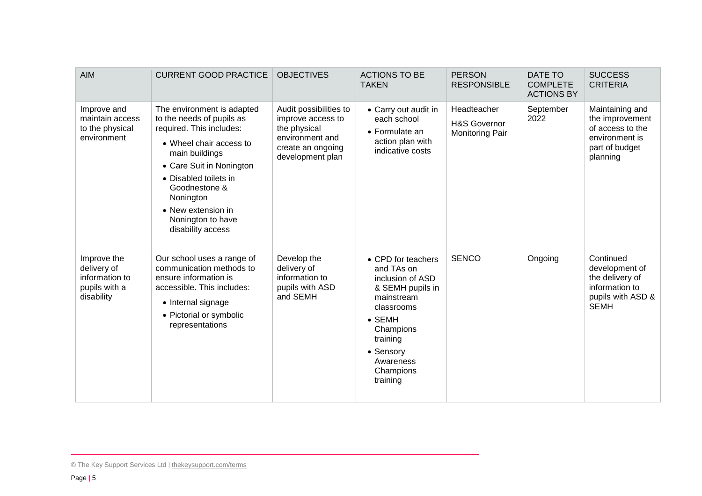| <b>AIM</b>                                                                  | <b>CURRENT GOOD PRACTICE</b>                                                                                                                                                                                                                                                        | <b>OBJECTIVES</b>                                                                                                       | <b>ACTIONS TO BE</b><br><b>TAKEN</b>                                                                                                                                                               | <b>PERSON</b><br><b>RESPONSIBLE</b>                   | DATE TO<br><b>COMPLETE</b><br><b>ACTIONS BY</b> | <b>SUCCESS</b><br><b>CRITERIA</b>                                                                      |
|-----------------------------------------------------------------------------|-------------------------------------------------------------------------------------------------------------------------------------------------------------------------------------------------------------------------------------------------------------------------------------|-------------------------------------------------------------------------------------------------------------------------|----------------------------------------------------------------------------------------------------------------------------------------------------------------------------------------------------|-------------------------------------------------------|-------------------------------------------------|--------------------------------------------------------------------------------------------------------|
| Improve and<br>maintain access<br>to the physical<br>environment            | The environment is adapted<br>to the needs of pupils as<br>required. This includes:<br>• Wheel chair access to<br>main buildings<br>• Care Suit in Nonington<br>• Disabled toilets in<br>Goodnestone &<br>Nonington<br>• New extension in<br>Nonington to have<br>disability access | Audit possibilities to<br>improve access to<br>the physical<br>environment and<br>create an ongoing<br>development plan | • Carry out audit in<br>each school<br>• Formulate an<br>action plan with<br>indicative costs                                                                                                      | Headteacher<br>H&S Governor<br><b>Monitoring Pair</b> | September<br>2022                               | Maintaining and<br>the improvement<br>of access to the<br>environment is<br>part of budget<br>planning |
| Improve the<br>delivery of<br>information to<br>pupils with a<br>disability | Our school uses a range of<br>communication methods to<br>ensure information is<br>accessible. This includes:<br>• Internal signage<br>• Pictorial or symbolic<br>representations                                                                                                   | Develop the<br>delivery of<br>information to<br>pupils with ASD<br>and SEMH                                             | • CPD for teachers<br>and TAs on<br>inclusion of ASD<br>& SEMH pupils in<br>mainstream<br>classrooms<br>$\bullet$ SEMH<br>Champions<br>training<br>• Sensory<br>Awareness<br>Champions<br>training | <b>SENCO</b>                                          | Ongoing                                         | Continued<br>development of<br>the delivery of<br>information to<br>pupils with ASD &<br><b>SEMH</b>   |

<sup>©</sup> The Key Support Services Ltd | [thekeysupport.com/terms](https://thekeysupport.com/terms-of-use)